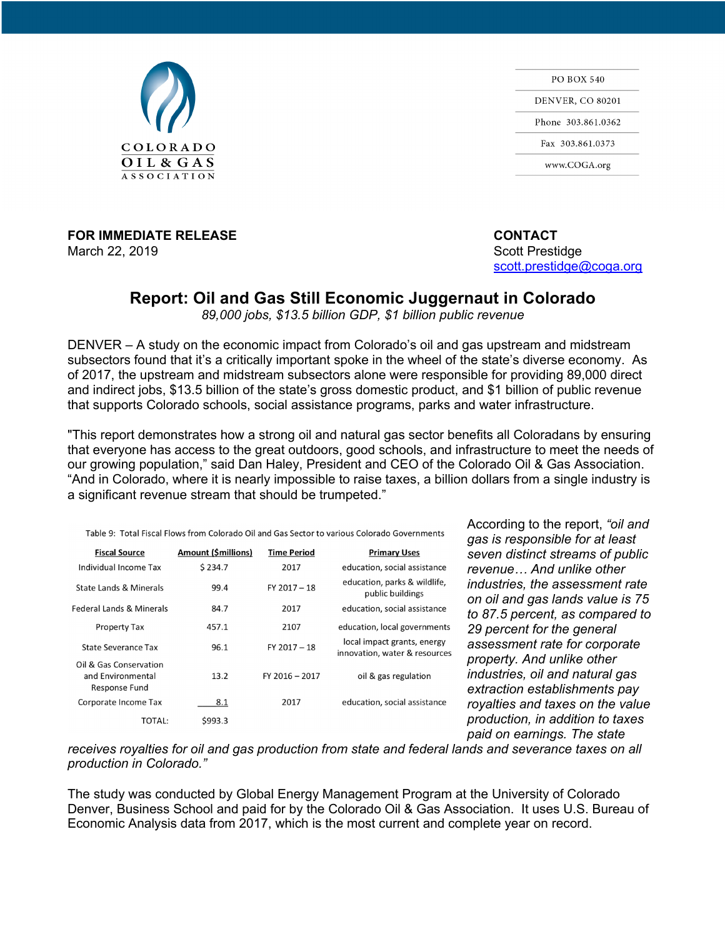

**FOR IMMEDIATE RELEASE CONTACT** March 22, 2019 **Scott Prestidge** Scott Prestidge Scott Prestidge Scott Prestidge Scott Prestidge Scott Prestidge

**PO BOX 540 DENVER, CO 80201** Phone 303.861.0362 Fax 303.861.0373 www.COGA.org

scott.prestidge@coga.org

## **Report: Oil and Gas Still Economic Juggernaut in Colorado**

*89,000 jobs, \$13.5 billion GDP, \$1 billion public revenue*

DENVER – A study on the economic impact from Colorado's oil and gas upstream and midstream subsectors found that it's a critically important spoke in the wheel of the state's diverse economy. As of 2017, the upstream and midstream subsectors alone were responsible for providing 89,000 direct and indirect jobs, \$13.5 billion of the state's gross domestic product, and \$1 billion of public revenue that supports Colorado schools, social assistance programs, parks and water infrastructure.

"This report demonstrates how a strong oil and natural gas sector benefits all Coloradans by ensuring that everyone has access to the great outdoors, good schools, and infrastructure to meet the needs of our growing population," said Dan Haley, President and CEO of the Colorado Oil & Gas Association. "And in Colorado, where it is nearly impossible to raise taxes, a billion dollars from a single industry is a significant revenue stream that should be trumpeted."

|                                                              |                     |                    | Table 9:  Total Fiscal Flows from Colorado Oil and Gas Sector to various Colorado Governments |
|--------------------------------------------------------------|---------------------|--------------------|-----------------------------------------------------------------------------------------------|
| <b>Fiscal Source</b>                                         | Amount (\$millions) | <b>Time Period</b> | <b>Primary Uses</b>                                                                           |
| Individual Income Tax                                        | \$234.7             | 2017               | education, social assistance                                                                  |
| <b>State Lands &amp; Minerals</b>                            | 99.4                | $FY$ 2017 - 18     | education, parks & wildlife,<br>public buildings                                              |
| <b>Federal Lands &amp; Minerals</b>                          | 84.7                | 2017               | education, social assistance                                                                  |
| <b>Property Tax</b>                                          | 457.1               | 2107               | education, local governments                                                                  |
| <b>State Severance Tax</b>                                   | 96.1                | $FY$ 2017 - 18     | local impact grants, energy<br>innovation, water & resources                                  |
| Oil & Gas Conservation<br>and Environmental<br>Response Fund | 13.2                | FY 2016 - 2017     | oil & gas regulation                                                                          |
| Corporate Income Tax                                         | 8.1                 | 2017               | education, social assistance                                                                  |
| TOTAL:                                                       | \$993.3             |                    |                                                                                               |

According to the report, *"oil and gas is responsible for at least seven distinct streams of public revenue… And unlike other industries, the assessment rate on oil and gas lands value is 75 to 87.5 percent, as compared to 29 percent for the general assessment rate for corporate property. And unlike other industries, oil and natural gas extraction establishments pay <i>kies and taxes on the value production, in addition to taxes paid on earnings. The state* 

*receives royalties for oil and gas production from state and federal lands and severance taxes on all production in Colorado."*

The study was conducted by Global Energy Management Program at the University of Colorado Denver, Business School and paid for by the Colorado Oil & Gas Association. It uses U.S. Bureau of Economic Analysis data from 2017, which is the most current and complete year on record.